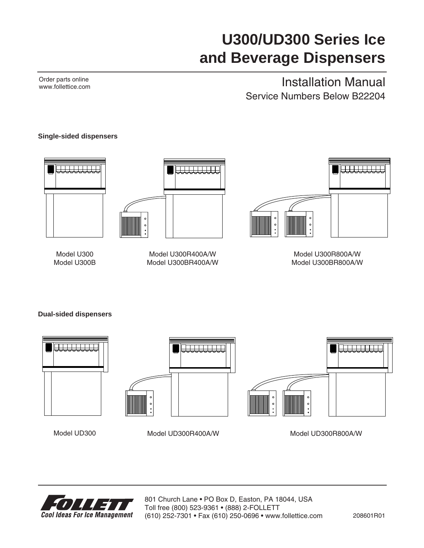# **U300/UD300 Series Ice and Beverage Dispensers**

Order parts online www.follettice.com

# Installation Manual Service Numbers Below B22204

### **Single-sided dispensers**







Model U300R400A/W Model U300BR400A/W



Model U300R800A/W Model U300BR800A/W

**Dual-sided dispensers**







Model UD300 Model UD300R400A/W Model UD300R800A/W



801 Church Lane • PO Box D, Easton, PA 18044, USA Toll free (800) 523-9361 • (888) 2-FOLLETT (610) 252-7301 • Fax (610) 250-0696 • www.follettice.com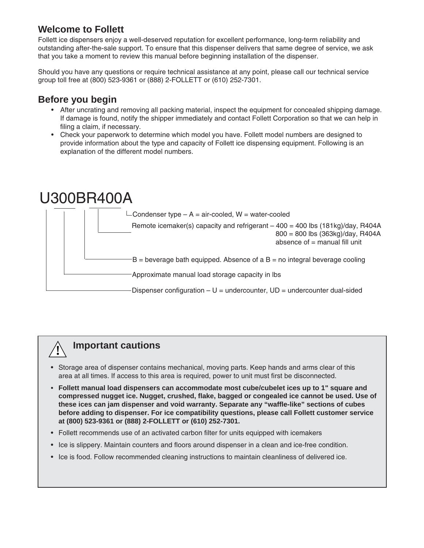# **Welcome to Follett**

Follett ice dispensers enjoy a well-deserved reputation for excellent performance, long-term reliability and outstanding after-the-sale support. To ensure that this dispenser delivers that same degree of service, we ask that you take a moment to review this manual before beginning installation of the dispenser.

Should you have any questions or require technical assistance at any point, please call our technical service group toll free at (800) 523-9361 or (888) 2-FOLLETT or (610) 252-7301.

# **Before you begin**

- After uncrating and removing all packing material, inspect the equipment for concealed shipping damage. If damage is found, notify the shipper immediately and contact Follett Corporation so that we can help in filing a claim, if necessary.
- Check your paperwork to determine which model you have. Follett model numbers are designed to provide information about the type and capacity of Follett ice dispensing equipment. Following is an explanation of the different model numbers.



# **Important cautions**

**!**

- Storage area of dispenser contains mechanical, moving parts. Keep hands and arms clear of this area at all times. If access to this area is required, power to unit must first be disconnected.
- **• Follett manual load dispensers can accommodate most cube/cubelet ices up to 1" square and compressed nugget ice. Nugget, crushed, flake, bagged or congealed ice cannot be used. Use of these ices can jam dispenser and void warranty. Separate any "waffle-like" sections of cubes before adding to dispenser. For ice compatibility questions, please call Follett customer service at (800) 523-9361 or (888) 2-FOLLETT or (610) 252-7301.**
- Follett recommends use of an activated carbon filter for units equipped with icemakers
- Ice is slippery. Maintain counters and floors around dispenser in a clean and ice-free condition.
- Ice is food. Follow recommended cleaning instructions to maintain cleanliness of delivered ice.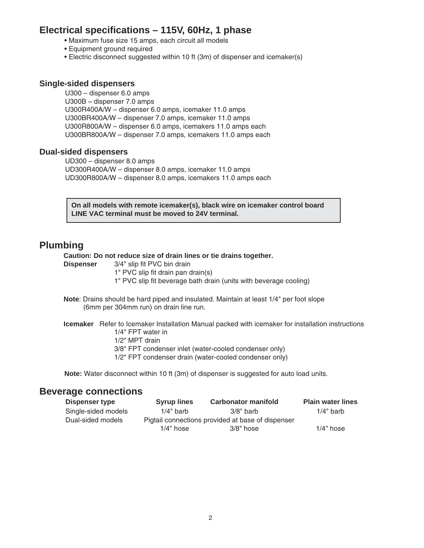### **Electrical specifications – 115V, 60Hz, 1 phase**

- Maximum fuse size 15 amps, each circuit all models
- Equipment ground required
- Electric disconnect suggested within 10 ft (3m) of dispenser and icemaker(s)

### **Single-sided dispensers**

U300 – dispenser 6.0 amps U300B – dispenser 7.0 amps U300R400A/W – dispenser 6.0 amps, icemaker 11.0 amps U300BR400A/W – dispenser 7.0 amps, icemaker 11.0 amps U300R800A/W – dispenser 6.0 amps, icemakers 11.0 amps each U300BR800A/W – dispenser 7.0 amps, icemakers 11.0 amps each

### **Dual-sided dispensers**

UD300 – dispenser 8.0 amps UD300R400A/W – dispenser 8.0 amps, icemaker 11.0 amps UD300R800A/W – dispenser 8.0 amps, icemakers 11.0 amps each

**On all models with remote icemaker(s), black wire on icemaker control board LINE VAC terminal must be moved to 24V terminal.**

### **Plumbing**

#### **Caution: Do not reduce size of drain lines or tie drains together.**

- **Dispenser** 3/4" slip fit PVC bin drain
	- 1" PVC slip fit drain pan drain(s)
	- 1" PVC slip fit beverage bath drain (units with beverage cooling)
- **Note**: Drains should be hard piped and insulated. Maintain at least 1/4" per foot slope (6mm per 304mm run) on drain line run.

**Icemaker** Refer to Icemaker Installation Manual packed with icemaker for installation instructions 1/4" FPT water in

- 1/2" MPT drain
- 3/8" FPT condenser inlet (water-cooled condenser only)
- 1/2" FPT condenser drain (water-cooled condenser only)

**Note:** Water disconnect within 10 ft (3m) of dispenser is suggested for auto load units.

### **Beverage connections**

| Dispenser type      | <b>Syrup lines</b>                                | <b>Carbonator manifold</b> | <b>Plain water lines</b> |
|---------------------|---------------------------------------------------|----------------------------|--------------------------|
| Single-sided models | $1/4"$ barb                                       | $3/8"$ barb                | $1/4"$ barb              |
| Dual-sided models   | Pigtail connections provided at base of dispenser |                            |                          |
|                     | $1/4"$ hose                                       | $3/8"$ hose                | $1/4"$ hose              |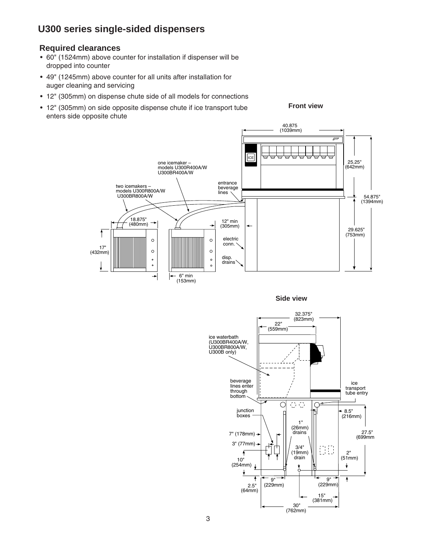### **U300 series single-sided dispensers**

#### **Required clearances**

- 60" (1524mm) above counter for installation if dispenser will be dropped into counter
- 49" (1245mm) above counter for all units after installation for auger cleaning and servicing
- 12" (305mm) on dispense chute side of all models for connections
- 12" (305mm) on side opposite dispense chute if ice transport tube enters side opposite chute

**Front view**



**Side view**

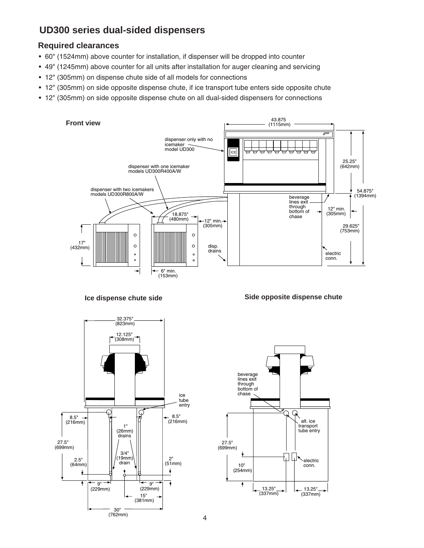# **UD300 series dual-sided dispensers**

### **Required clearances**

- 60" (1524mm) above counter for installation, if dispenser will be dropped into counter
- 49" (1245mm) above counter for all units after installation for auger cleaning and servicing
- 12" (305mm) on dispense chute side of all models for connections
- 12" (305mm) on side opposite dispense chute, if ice transport tube enters side opposite chute
- 12" (305mm) on side opposite dispense chute on all dual-sided dispensers for connections



**Ice dispense chute side**





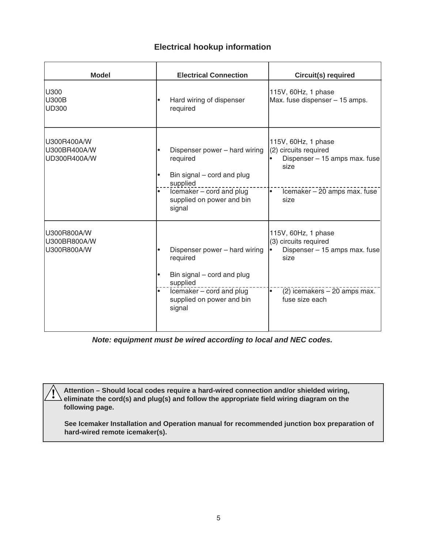### **Electrical hookup information**

| <b>Model</b>                                | <b>Electrical Connection</b>                                                                                                                             | <b>Circuit(s) required</b>                                                                                                                   |
|---------------------------------------------|----------------------------------------------------------------------------------------------------------------------------------------------------------|----------------------------------------------------------------------------------------------------------------------------------------------|
| U300<br><b>U300B</b><br><b>UD300</b>        | Hard wiring of dispenser<br>required                                                                                                                     | 115V, 60Hz, 1 phase<br>Max. fuse dispenser - 15 amps.                                                                                        |
| U300R400A/W<br>U300BR400A/W<br>UD300R400A/W | Dispenser power - hard wiring<br>required<br>Bin signal - cord and plug<br>supplied<br>Icemaker - cord and plug<br>supplied on power and bin<br>signal   | 115V, 60Hz, 1 phase<br>(2) circuits required<br>Dispenser - 15 amps max. fuse<br>size<br>Icemaker - 20 amps max. fuse<br>$\bullet$<br>size   |
| U300R800A/W<br>U300BR800A/W<br>U300R800A/W  | Dispenser power - hard wiring<br>required<br>Bin signal $-$ cord and plug<br>supplied<br>Icemaker - cord and plug<br>supplied on power and bin<br>signal | 115V, 60Hz, 1 phase<br>(3) circuits required<br>Dispenser - 15 amps max. fuse<br>size<br>(2) icemakers - 20 amps max.<br>٠<br>fuse size each |

**Note: equipment must be wired according to local and NEC codes.**

**Attention – Should local codes require a hard-wired connection and/or shielded wiring, eliminate the cord(s) and plug(s) and follow the appropriate field wiring diagram on the following page.**

**!**

**See Icemaker Installation and Operation manual for recommended junction box preparation of hard-wired remote icemaker(s).**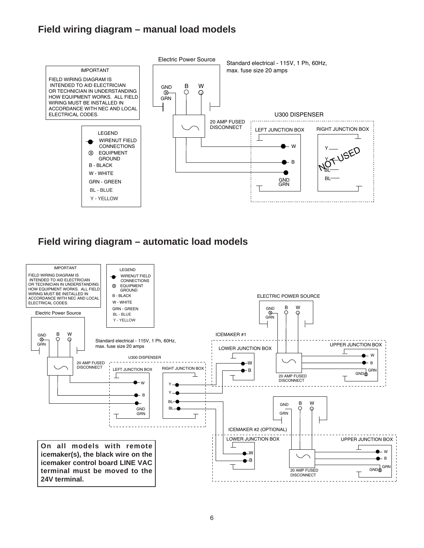# **Field wiring diagram – manual load models**



### **Field wiring diagram – automatic load models**

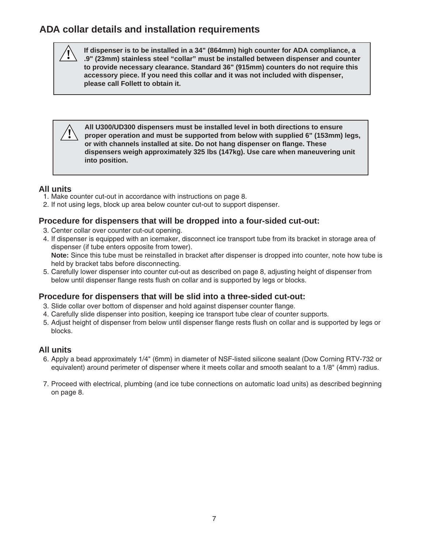# **ADA collar details and installation requirements**

**If dispenser is to be installed in a 34" (864mm) high counter for ADA compliance, a .9" (23mm) stainless steel "collar" must be installed between dispenser and counter to provide necessary clearance. Standard 36" (915mm) counters do not require this accessory piece. If you need this collar and it was not included with dispenser, please call Follett to obtain it.** 

**All U300/UD300 dispensers must be installed level in both directions to ensure proper operation and must be supported from below with supplied 6" (153mm) legs, or with channels installed at site. Do not hang dispenser on flange. These dispensers weigh approximately 325 lbs (147kg). Use care when maneuvering unit into position.**

### **All units**

**!**

**!**

- 1. Make counter cut-out in accordance with instructions on page 8.
- 2. If not using legs, block up area below counter cut-out to support dispenser.

### **Procedure for dispensers that will be dropped into a four-sided cut-out:**

- 3. Center collar over counter cut-out opening.
- 4. If dispenser is equipped with an icemaker, disconnect ice transport tube from its bracket in storage area of dispenser (if tube enters opposite from tower). **Note:** Since this tube must be reinstalled in bracket after dispenser is dropped into counter, note how tube is held by bracket tabs before disconnecting.
- 5. Carefully lower dispenser into counter cut-out as described on page 8, adjusting height of dispenser from below until dispenser flange rests flush on collar and is supported by legs or blocks.

### **Procedure for dispensers that will be slid into a three-sided cut-out:**

- 3. Slide collar over bottom of dispenser and hold against dispenser counter flange.
- 4. Carefully slide dispenser into position, keeping ice transport tube clear of counter supports.
- 5. Adjust height of dispenser from below until dispenser flange rests flush on collar and is supported by legs or blocks.

### **All units**

- 6. Apply a bead approximately 1/4" (6mm) in diameter of NSF-listed silicone sealant (Dow Corning RTV-732 or equivalent) around perimeter of dispenser where it meets collar and smooth sealant to a 1/8" (4mm) radius.
- 7. Proceed with electrical, plumbing (and ice tube connections on automatic load units) as described beginning on page 8.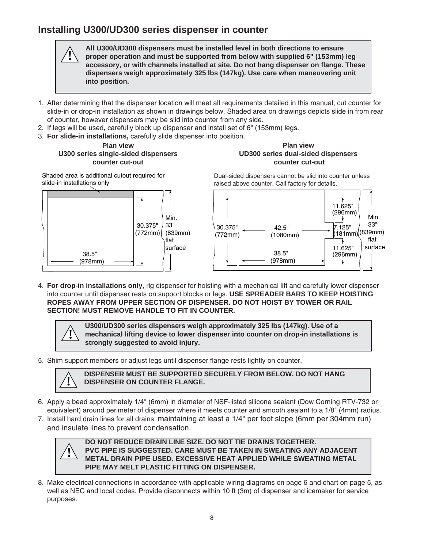# **Installing U300/UD300 series dispenser in counter**

**All U300/UD300 dispensers must be installed level in both directions to ensure proper operation and must be supported from below with supplied 6" (153mm) leg accessory, or with channels installed at site. Do not hang dispenser on flange. These dispensers weigh approximately 325 lbs (147kg). Use care when maneuvering unit into position.**

- 1. After determining that the dispenser location will meet all requirements detailed in this manual, cut counter for slide-in or drop-in installation as shown in drawings below. Shaded area on drawings depicts slide in from rear of counter, however dispensers may be slid into counter from any side.
- 2. If legs will be used, carefully block up dispenser and install set of 6" (153mm) legs.
- 3. **For slide-in installations,** carefully slide dispenser into position.

**Plan view U300 series single-sided dispensers counter cut-out** 

#### **Plan view UD300 series dual-sided dispensers counter cut-out**

Shaded area is additional cutout required for slide-in installations only

**!**



Dual-sided dispensers cannot be slid into counter unless raised above counter. Call factory for details.



4. **For drop-in installations only**, rig dispenser for hoisting with a mechanical lift and carefully lower dispenser into counter until dispenser rests on support blocks or legs. **USE SPREADER BARS TO KEEP HOISTING ROPES AWAY FROM UPPER SECTION OF DISPENSER. DO NOT HOIST BY TOWER OR RAIL SECTION! MUST REMOVE HANDLE TO FIT IN COUNTER.**

> **U300/UD300 series dispensers weigh approximately 325 lbs (147kg). Use of a mechanical lifting device to lower dispenser into counter on drop-in installations is strongly suggested to avoid injury.**

5. Shim support members or adjust legs until dispenser flange rests lightly on counter.



**!**

#### **DISPENSER MUST BE SUPPORTED SECURELY FROM BELOW. DO NOT HANG ! DISPENSER ON COUNTER FLANGE.**

- 6. Apply a bead approximately 1/4" (6mm) in diameter of NSF-listed silicone sealant (Dow Corning RTV-732 or equivalent) around perimeter of dispenser where it meets counter and smooth sealant to a 1/8" (4mm) radius.
- 7. Install hard drain lines for all drains, maintaining at least a 1/4" per foot slope (6mm per 304mm run) and insulate lines to prevent condensation.



**DO NOT REDUCE DRAIN LINE SIZE. DO NOT TIE DRAINS TOGETHER. PVC PIPE IS SUGGESTED. CARE MUST BE TAKEN IN SWEATING ANY ADJACENT METAL DRAIN PIPE USED. EXCESSIVE HEAT APPLIED WHILE SWEATING METAL PIPE MAY MELT PLASTIC FITTING ON DISPENSER.**

8. Make electrical connections in accordance with applicable wiring diagrams on page 6 and chart on page 5, as well as NEC and local codes. Provide disconnects within 10 ft (3m) of dispenser and icemaker for service purposes.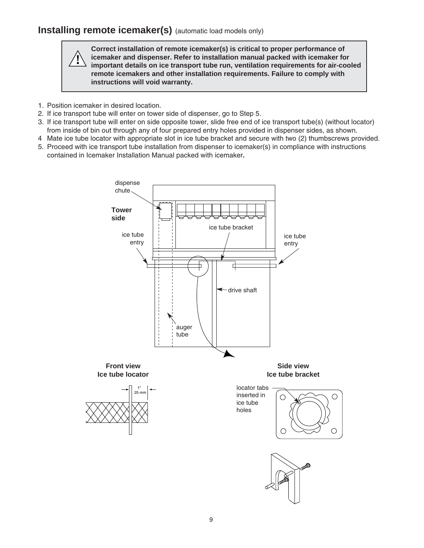### **Installing remote icemaker(s)** (automatic load models only)

**Correct installation of remote icemaker(s) is critical to proper performance of icemaker and dispenser. Refer to installation manual packed with icemaker for important details on ice transport tube run, ventilation requirements for air-cooled remote icemakers and other installation requirements. Failure to comply with instructions will void warranty.**

1. Position icemaker in desired location.

**!**

- 2. If ice transport tube will enter on tower side of dispenser, go to Step 5.
- 3. If ice transport tube will enter on side opposite tower, slide free end of ice transport tube(s) (without locator) from inside of bin out through any of four prepared entry holes provided in dispenser sides, as shown.
- 4 Mate ice tube locator with appropriate slot in ice tube bracket and secure with two (2) thumbscrews provided.
- 5. Proceed with ice transport tube installation from dispenser to icemaker(s) in compliance with instructions contained in Icemaker Installation Manual packed with icemaker**.**

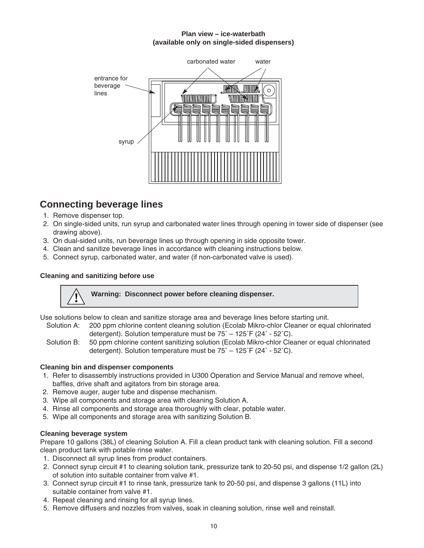#### **Plan view – ice-waterbath (available only on single-sided dispensers)**



# **Connecting beverage lines**

- 1. Remove dispenser top.
- 2. On single-sided units, run syrup and carbonated water lines through opening in tower side of dispenser (see drawing above).
- 3. On dual-sided units, run beverage lines up through opening in side opposite tower.
- 4. Clean and sanitize beverage lines in accordance with cleaning instructions below.
- 5. Connect syrup, carbonated water, and water (if non-carbonated valve is used).

### **Cleaning and sanitizing before use**



Use solutions below to clean and sanitize storage area and beverage lines before starting unit.

- Solution A: 200 ppm chlorine content cleaning solution (Ecolab Mikro-chlor Cleaner or equal chlorinated detergent). Solution temperature must be 75˚ – 125˚F (24˚ - 52˚C).
- Solution B: 50 ppm chlorine content sanitizing solution (Ecolab Mikro-chlor Cleaner or equal chlorinated detergent). Solution temperature must be 75˚ – 125˚F (24˚ - 52˚C).

#### **Cleaning bin and dispenser components**

- 1. Refer to disassembly instructions provided in U300 Operation and Service Manual and remove wheel, baffles, drive shaft and agitators from bin storage area.
- 2. Remove auger, auger tube and dispense mechanism.
- 3. Wipe all components and storage area with cleaning Solution A.
- 4. Rinse all components and storage area thoroughly with clear, potable water.
- 5. Wipe all components and storage area with sanitizing Solution B.

### **Cleaning beverage system**

Prepare 10 gallons (38L) of cleaning Solution A. Fill a clean product tank with cleaning solution. Fill a second clean product tank with potable rinse water.

- 1. Disconnect all syrup lines from product containers.
- 2. Connect syrup circuit #1 to cleaning solution tank, pressurize tank to 20-50 psi, and dispense 1/2 gallon (2L) of solution into suitable container from valve #1.
- 3. Connect syrup circuit #1 to rinse tank, pressurize tank to 20-50 psi, and dispense 3 gallons (11L) into suitable container from valve #1.
- 4. Repeat cleaning and rinsing for all syrup lines.
- 5. Remove diffusers and nozzles from valves, soak in cleaning solution, rinse well and reinstall.